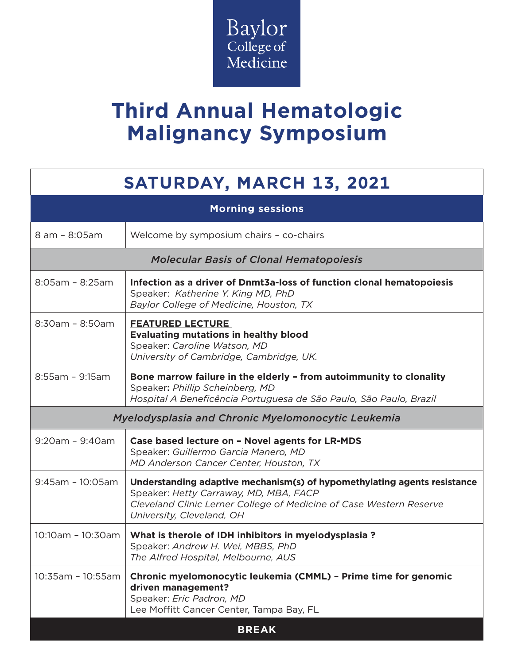

## **Third Annual Hematologic Malignancy Symposium**

## **SATURDAY, MARCH 13, 2021**

| <b>Morning sessions</b>                            |                                                                                                                                                                                                                        |  |
|----------------------------------------------------|------------------------------------------------------------------------------------------------------------------------------------------------------------------------------------------------------------------------|--|
| 8 am - 8:05 am                                     | Welcome by symposium chairs - co-chairs                                                                                                                                                                                |  |
| <b>Molecular Basis of Clonal Hematopoiesis</b>     |                                                                                                                                                                                                                        |  |
| $8:05$ am - $8:25$ am                              | Infection as a driver of Dnmt3a-loss of function clonal hematopoiesis<br>Speaker: Katherine Y. King MD, PhD<br>Baylor College of Medicine, Houston, TX                                                                 |  |
| $8:30am - 8:50am$                                  | <b>FEATURED LECTURE</b><br><b>Evaluating mutations in healthy blood</b><br>Speaker: Caroline Watson, MD<br>University of Cambridge, Cambridge, UK.                                                                     |  |
| $8:55$ am - $9:15$ am                              | Bone marrow failure in the elderly - from autoimmunity to clonality<br>Speaker: Phillip Scheinberg, MD<br>Hospital A Beneficência Portuguesa de São Paulo, São Paulo, Brazil                                           |  |
| Myelodysplasia and Chronic Myelomonocytic Leukemia |                                                                                                                                                                                                                        |  |
| $9:20$ am - $9:40$ am                              | Case based lecture on - Novel agents for LR-MDS<br>Speaker: Guillermo Garcia Manero, MD<br>MD Anderson Cancer Center, Houston, TX                                                                                      |  |
| $9:45$ am - 10:05am                                | Understanding adaptive mechanism(s) of hypomethylating agents resistance<br>Speaker: Hetty Carraway, MD, MBA, FACP<br>Cleveland Clinic Lerner College of Medicine of Case Western Reserve<br>University, Cleveland, OH |  |
| 10:10am - 10:30am                                  | What is therole of IDH inhibitors in myelodysplasia?<br>Speaker: Andrew H. Wei, MBBS, PhD<br>The Alfred Hospital, Melbourne, AUS                                                                                       |  |
| 10:35am - 10:55am                                  | Chronic myelomonocytic leukemia (CMML) - Prime time for genomic<br>driven management?<br>Speaker: Eric Padron, MD<br>Lee Moffitt Cancer Center, Tampa Bay, FL                                                          |  |
| <b>BREAK</b>                                       |                                                                                                                                                                                                                        |  |